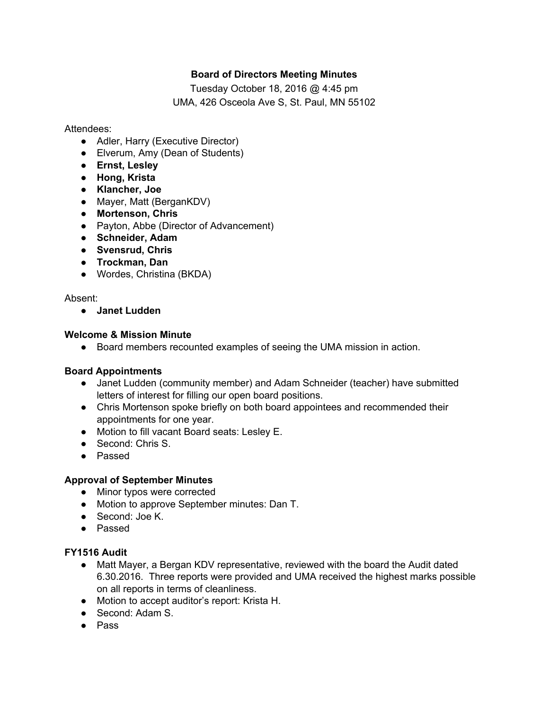# **Board of Directors Meeting Minutes**

Tuesday October 18, 2016 @ 4:45 pm UMA, 426 Osceola Ave S, St. Paul, MN 55102

Attendees:

- Adler, Harry (Executive Director)
- Elverum, Amy (Dean of Students)
- **Ernst, Lesley**
- **Hong, Krista**
- **● Klancher, Joe**
- Mayer, Matt (BerganKDV)
- **Mortenson, Chris**
- Payton, Abbe (Director of Advancement)
- **Schneider, Adam**
- **Svensrud, Chris**
- **Trockman, Dan**
- Wordes, Christina (BKDA)

## Absent:

● **Janet Ludden**

## **Welcome & Mission Minute**

● Board members recounted examples of seeing the UMA mission in action.

## **Board Appointments**

- Janet Ludden (community member) and Adam Schneider (teacher) have submitted letters of interest for filling our open board positions.
- Chris Mortenson spoke briefly on both board appointees and recommended their appointments for one year.
- Motion to fill vacant Board seats: Lesley E.
- Second: Chris S.
- Passed

## **Approval of September Minutes**

- Minor typos were corrected
- Motion to approve September minutes: Dan T.
- Second: Joe K.
- Passed

## **FY1516 Audit**

- Matt Mayer, a Bergan KDV representative, reviewed with the board the Audit dated 6.30.2016. Three reports were provided and UMA received the highest marks possible on all reports in terms of cleanliness.
- Motion to accept auditor's report: Krista H.
- Second: Adam S.
- Pass